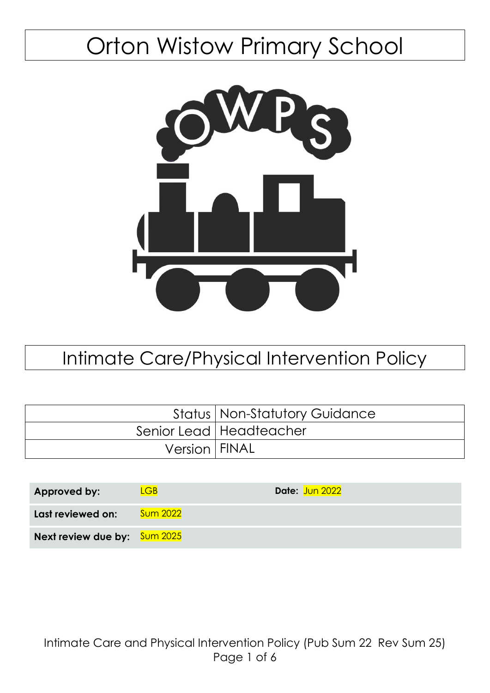# Orton Wistow Primary School



## Intimate Care/Physical Intervention Policy

|                 | <b>Status   Non-Statutory Guidance</b> |
|-----------------|----------------------------------------|
|                 | Senior Lead   Headteacher              |
| Version   FINAL |                                        |

| Approved by:                        | .GB             | Date: Jun 2022 |
|-------------------------------------|-----------------|----------------|
| Last reviewed on:                   | <b>Sum 2022</b> |                |
| <b>Next review due by:</b> Sum 2025 |                 |                |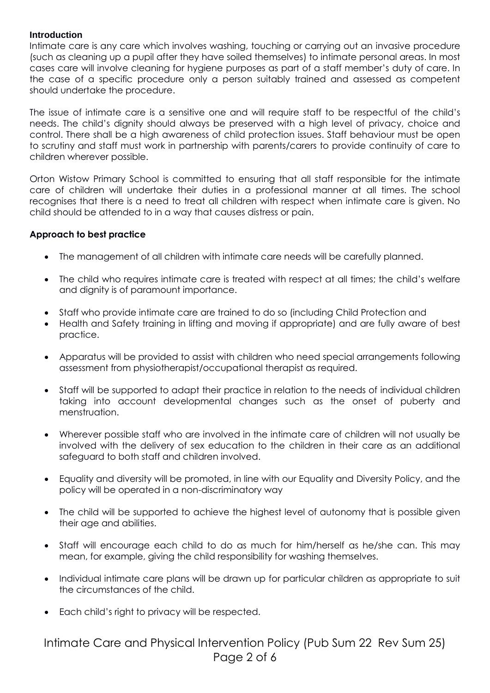#### **Introduction**

Intimate care is any care which involves washing, touching or carrying out an invasive procedure (such as cleaning up a pupil after they have soiled themselves) to intimate personal areas. In most cases care will involve cleaning for hygiene purposes as part of a staff member's duty of care. In the case of a specific procedure only a person suitably trained and assessed as competent should undertake the procedure.

The issue of intimate care is a sensitive one and will require staff to be respectful of the child's needs. The child's dignity should always be preserved with a high level of privacy, choice and control. There shall be a high awareness of child protection issues. Staff behaviour must be open to scrutiny and staff must work in partnership with parents/carers to provide continuity of care to children wherever possible.

Orton Wistow Primary School is committed to ensuring that all staff responsible for the intimate care of children will undertake their duties in a professional manner at all times. The school recognises that there is a need to treat all children with respect when intimate care is given. No child should be attended to in a way that causes distress or pain.

#### **Approach to best practice**

- The management of all children with intimate care needs will be carefully planned.
- The child who requires intimate care is treated with respect at all times; the child's welfare and dignity is of paramount importance.
- Staff who provide intimate care are trained to do so (including Child Protection and
- Health and Safety training in lifting and moving if appropriate) and are fully aware of best practice.
- Apparatus will be provided to assist with children who need special arrangements following assessment from physiotherapist/occupational therapist as required.
- Staff will be supported to adapt their practice in relation to the needs of individual children taking into account developmental changes such as the onset of puberty and menstruation.
- Wherever possible staff who are involved in the intimate care of children will not usually be involved with the delivery of sex education to the children in their care as an additional safeguard to both staff and children involved.
- Equality and diversity will be promoted, in line with our Equality and Diversity Policy, and the policy will be operated in a non-discriminatory way
- The child will be supported to achieve the highest level of autonomy that is possible given their age and abilities.
- Staff will encourage each child to do as much for him/herself as he/she can. This may mean, for example, giving the child responsibility for washing themselves.
- Individual intimate care plans will be drawn up for particular children as appropriate to suit the circumstances of the child.
- Each child's right to privacy will be respected.

### Intimate Care and Physical Intervention Policy (Pub Sum 22 Rev Sum 25) Page 2 of 6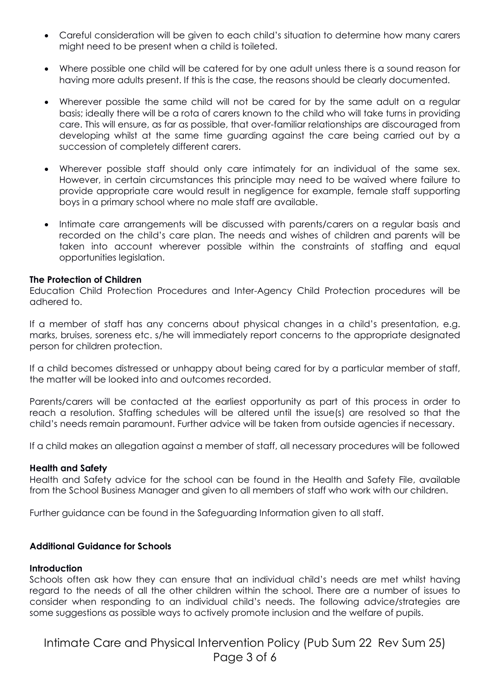- Careful consideration will be given to each child's situation to determine how many carers might need to be present when a child is toileted.
- Where possible one child will be catered for by one adult unless there is a sound reason for having more adults present. If this is the case, the reasons should be clearly documented.
- Wherever possible the same child will not be cared for by the same adult on a regular basis; ideally there will be a rota of carers known to the child who will take turns in providing care. This will ensure, as far as possible, that over-familiar relationships are discouraged from developing whilst at the same time guarding against the care being carried out by a succession of completely different carers.
- Wherever possible staff should only care intimately for an individual of the same sex. However, in certain circumstances this principle may need to be waived where failure to provide appropriate care would result in negligence for example, female staff supporting boys in a primary school where no male staff are available.
- Intimate care arrangements will be discussed with parents/carers on a regular basis and recorded on the child's care plan. The needs and wishes of children and parents will be taken into account wherever possible within the constraints of staffing and equal opportunities legislation.

#### **The Protection of Children**

Education Child Protection Procedures and Inter-Agency Child Protection procedures will be adhered to.

If a member of staff has any concerns about physical changes in a child's presentation, e.g. marks, bruises, soreness etc. s/he will immediately report concerns to the appropriate designated person for children protection.

If a child becomes distressed or unhappy about being cared for by a particular member of staff, the matter will be looked into and outcomes recorded.

Parents/carers will be contacted at the earliest opportunity as part of this process in order to reach a resolution. Staffing schedules will be altered until the issue(s) are resolved so that the child's needs remain paramount. Further advice will be taken from outside agencies if necessary.

If a child makes an allegation against a member of staff, all necessary procedures will be followed

#### **Health and Safety**

Health and Safety advice for the school can be found in the Health and Safety File, available from the School Business Manager and given to all members of staff who work with our children.

Further guidance can be found in the Safeguarding Information given to all staff.

#### **Additional Guidance for Schools**

#### **Introduction**

Schools often ask how they can ensure that an individual child's needs are met whilst having regard to the needs of all the other children within the school. There are a number of issues to consider when responding to an individual child's needs. The following advice/strategies are some suggestions as possible ways to actively promote inclusion and the welfare of pupils.

Intimate Care and Physical Intervention Policy (Pub Sum 22 Rev Sum 25) Page 3 of 6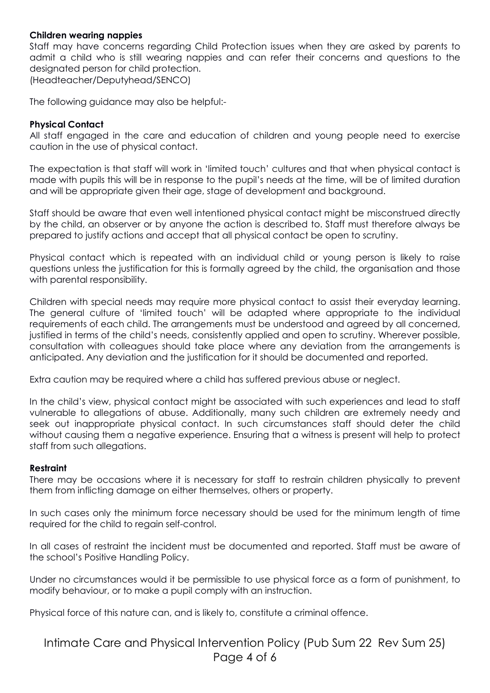#### **Children wearing nappies**

Staff may have concerns regarding Child Protection issues when they are asked by parents to admit a child who is still wearing nappies and can refer their concerns and questions to the designated person for child protection. (Headteacher/Deputyhead/SENCO)

The following guidance may also be helpful:-

#### **Physical Contact**

All staff engaged in the care and education of children and young people need to exercise caution in the use of physical contact.

The expectation is that staff will work in 'limited touch' cultures and that when physical contact is made with pupils this will be in response to the pupil's needs at the time, will be of limited duration and will be appropriate given their age, stage of development and background.

Staff should be aware that even well intentioned physical contact might be misconstrued directly by the child, an observer or by anyone the action is described to. Staff must therefore always be prepared to justify actions and accept that all physical contact be open to scrutiny.

Physical contact which is repeated with an individual child or young person is likely to raise questions unless the justification for this is formally agreed by the child, the organisation and those with parental responsibility.

Children with special needs may require more physical contact to assist their everyday learning. The general culture of 'limited touch' will be adapted where appropriate to the individual requirements of each child. The arrangements must be understood and agreed by all concerned, justified in terms of the child's needs, consistently applied and open to scrutiny. Wherever possible, consultation with colleagues should take place where any deviation from the arrangements is anticipated. Any deviation and the justification for it should be documented and reported.

Extra caution may be required where a child has suffered previous abuse or neglect.

In the child's view, physical contact might be associated with such experiences and lead to staff vulnerable to allegations of abuse. Additionally, many such children are extremely needy and seek out inappropriate physical contact. In such circumstances staff should deter the child without causing them a negative experience. Ensuring that a witness is present will help to protect staff from such allegations.

#### **Restraint**

There may be occasions where it is necessary for staff to restrain children physically to prevent them from inflicting damage on either themselves, others or property.

In such cases only the minimum force necessary should be used for the minimum length of time required for the child to regain self-control.

In all cases of restraint the incident must be documented and reported. Staff must be aware of the school's Positive Handling Policy.

Under no circumstances would it be permissible to use physical force as a form of punishment, to modify behaviour, or to make a pupil comply with an instruction.

Physical force of this nature can, and is likely to, constitute a criminal offence.

Intimate Care and Physical Intervention Policy (Pub Sum 22 Rev Sum 25) Page 4 of 6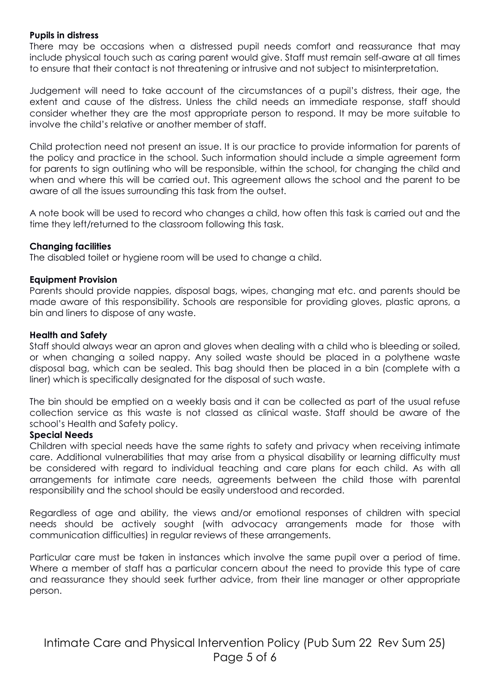#### **Pupils in distress**

There may be occasions when a distressed pupil needs comfort and reassurance that may include physical touch such as caring parent would give. Staff must remain self-aware at all times to ensure that their contact is not threatening or intrusive and not subject to misinterpretation.

Judgement will need to take account of the circumstances of a pupil's distress, their age, the extent and cause of the distress. Unless the child needs an immediate response, staff should consider whether they are the most appropriate person to respond. It may be more suitable to involve the child's relative or another member of staff.

Child protection need not present an issue. It is our practice to provide information for parents of the policy and practice in the school. Such information should include a simple agreement form for parents to sign outlining who will be responsible, within the school, for changing the child and when and where this will be carried out. This agreement allows the school and the parent to be aware of all the issues surrounding this task from the outset.

A note book will be used to record who changes a child, how often this task is carried out and the time they left/returned to the classroom following this task.

#### **Changing facilities**

The disabled toilet or hygiene room will be used to change a child.

#### **Equipment Provision**

Parents should provide nappies, disposal bags, wipes, changing mat etc. and parents should be made aware of this responsibility. Schools are responsible for providing gloves, plastic aprons, a bin and liners to dispose of any waste.

#### **Health and Safety**

Staff should always wear an apron and gloves when dealing with a child who is bleeding or soiled, or when changing a soiled nappy. Any soiled waste should be placed in a polythene waste disposal bag, which can be sealed. This bag should then be placed in a bin (complete with a liner) which is specifically designated for the disposal of such waste.

The bin should be emptied on a weekly basis and it can be collected as part of the usual refuse collection service as this waste is not classed as clinical waste. Staff should be aware of the school's Health and Safety policy.

#### **Special Needs**

Children with special needs have the same rights to safety and privacy when receiving intimate care. Additional vulnerabilities that may arise from a physical disability or learning difficulty must be considered with regard to individual teaching and care plans for each child. As with all arrangements for intimate care needs, agreements between the child those with parental responsibility and the school should be easily understood and recorded.

Regardless of age and ability, the views and/or emotional responses of children with special needs should be actively sought (with advocacy arrangements made for those with communication difficulties) in regular reviews of these arrangements.

Particular care must be taken in instances which involve the same pupil over a period of time. Where a member of staff has a particular concern about the need to provide this type of care and reassurance they should seek further advice, from their line manager or other appropriate person.